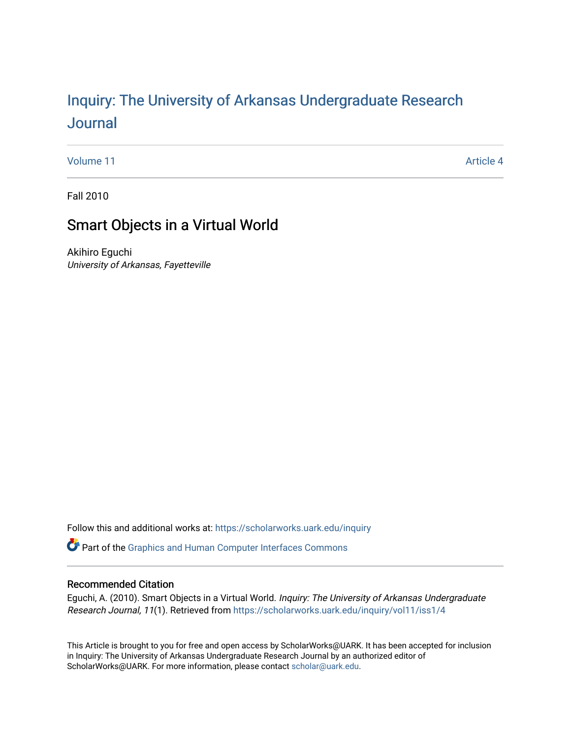# Inquiry: The Univ[ersity of Arkansas Undergraduate Resear](https://scholarworks.uark.edu/inquiry)ch [Journal](https://scholarworks.uark.edu/inquiry)

[Volume 11](https://scholarworks.uark.edu/inquiry/vol11) Article 4

Fall 2010

# Smart Objects in a Virtual World

Akihiro Eguchi University of Arkansas, Fayetteville

Follow this and additional works at: [https://scholarworks.uark.edu/inquiry](https://scholarworks.uark.edu/inquiry?utm_source=scholarworks.uark.edu%2Finquiry%2Fvol11%2Fiss1%2F4&utm_medium=PDF&utm_campaign=PDFCoverPages)

Part of the [Graphics and Human Computer Interfaces Commons](http://network.bepress.com/hgg/discipline/146?utm_source=scholarworks.uark.edu%2Finquiry%2Fvol11%2Fiss1%2F4&utm_medium=PDF&utm_campaign=PDFCoverPages) 

# Recommended Citation

Eguchi, A. (2010). Smart Objects in a Virtual World. Inquiry: The University of Arkansas Undergraduate Research Journal, 11(1). Retrieved from [https://scholarworks.uark.edu/inquiry/vol11/iss1/4](https://scholarworks.uark.edu/inquiry/vol11/iss1/4?utm_source=scholarworks.uark.edu%2Finquiry%2Fvol11%2Fiss1%2F4&utm_medium=PDF&utm_campaign=PDFCoverPages) 

This Article is brought to you for free and open access by ScholarWorks@UARK. It has been accepted for inclusion in Inquiry: The University of Arkansas Undergraduate Research Journal by an authorized editor of ScholarWorks@UARK. For more information, please contact [scholar@uark.edu](mailto:scholar@uark.edu).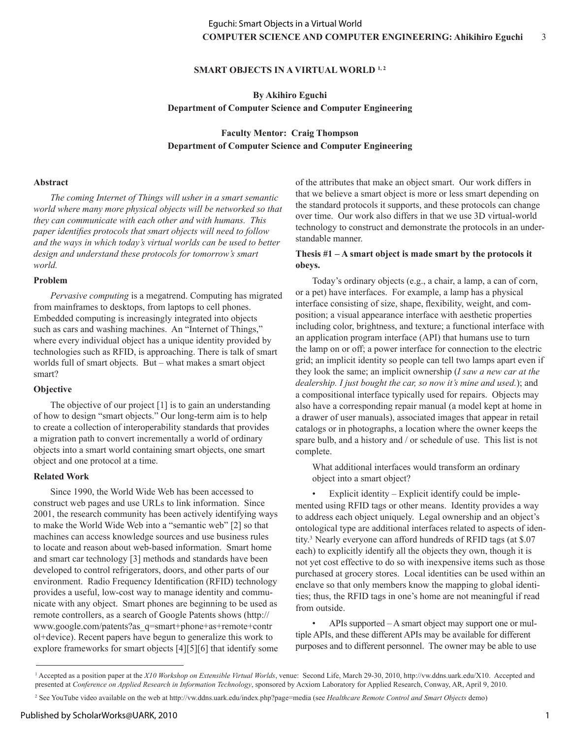# **SMART OBJECTS IN A VIRTUAL WORLD 1,2**

**By Akihiro Eguchi Department of Computer Science and Computer Engineering**

**Faculty Mentor: Craig Thompson Department of Computer Science and Computer Engineering**

#### **Abstract**

*The coming Internet of Things will usher in a smart semantic world where many more physical objects will be networked so that they can communicate with each other and with humans. This paper identifies protocols that smart objects will need to follow and the ways in which today's virtual worlds can be used to better design and understand these protocols for tomorrow's smart world.*

#### **Problem**

*Pervasive computing* is a megatrend. Computing has migrated from mainframes to desktops, from laptops to cell phones. Embedded computing is increasingly integrated into objects such as cars and washing machines. An "Internet of Things," where every individual object has a unique identity provided by technologies such as RFID, is approaching. There is talk of smart worlds full of smart objects. But – what makes a smart object smart?

### **Objective**

The objective of our project [1] is to gain an understanding of how to design "smart objects." Our long-term aim is to help to create a collection of interoperability standards that provides a migration path to convert incrementally a world of ordinary objects into a smart world containing smart objects, one smart object and one protocol at a time.

#### **Related Work**

Since 1990, the World Wide Web has been accessed to construct web pages and use URLs to link information. Since 2001, the research community has been actively identifying ways to make the World Wide Web into a "semantic web" [2] so that machines can access knowledge sources and use business rules to locate and reason about web-based information. Smart home and smart car technology [3] methods and standards have been developed to control refrigerators, doors, and other parts of our environment. Radio Frequency Identification (RFID) technology provides a useful, low-cost way to manage identity and communicate with any object. Smart phones are beginning to be used as remote controllers, as a search of Google Patents shows (http:// www.google.com/patents?as\_q=smart+phone+as+remote+contr ol+device). Recent papers have begun to generalize this work to explore frameworks for smart objects [4][5][6] that identify some of the attributes that make an object smart. Our work differs in that we believe a smart object is more or less smart depending on the standard protocols it supports, and these protocols can change over time. Our work also differs in that we use 3D virtual-world technology to construct and demonstrate the protocols in an understandable manner.

### **Thesis #1 – A smart object is made smart by the protocols it obeys.**

Today's ordinary objects (e.g., a chair, a lamp, a can of corn, or a pet) have interfaces. For example, a lamp has a physical interface consisting of size, shape, flexibility, weight, and composition; a visual appearance interface with aesthetic properties including color, brightness, and texture; a functional interface with an application program interface (API) that humans use to turn the lamp on or off; a power interface for connection to the electric grid; an implicit identity so people can tell two lamps apart even if they look the same; an implicit ownership (*I saw a new car at the dealership. I just bought the car, so now it's mine and used.*); and a compositional interface typically used for repairs. Objects may also have a corresponding repair manual (a model kept at home in a drawer of user manuals), associated images that appear in retail catalogs or in photographs, a location where the owner keeps the spare bulb, and a history and / or schedule of use. This list is not complete.

What additional interfaces would transform an ordinary object into a smart object?

Explicit identity – Explicit identify could be implemented using RFID tags or other means. Identity provides a way to address each object uniquely. Legal ownership and an object's ontological type are additional interfaces related to aspects of identity.3 Nearly everyone can afford hundreds of RFID tags (at \$.07 each) to explicitly identify all the objects they own, though it is not yet cost effective to do so with inexpensive items such as those purchased at grocery stores. Local identities can be used within an enclave so that only members know the mapping to global identities; thus, the RFID tags in one's home are not meaningful if read from outside.

• APIs supported – A smart object may support one or multiple APIs, and these different APIs may be available for different purposes and to different personnel. The owner may be able to use

<sup>&</sup>lt;sup>1</sup> Accepted as a position paper at the *X10 Workshop on Extensible Virtual Worlds*, venue: Second Life, March 29-30, 2010, http://vw.ddns.uark.edu/X10. Accepted and presented at *Conference on Applied Research in Information Technology*, sponsored by Acxiom Laboratory for Applied Research, Conway, AR, April 9, 2010.

<sup>2</sup> See YouTube video available on the web at http://vw.ddns.uark.edu/index.php?page=media (see *Healthcare Remote Control and Smart Objects* demo)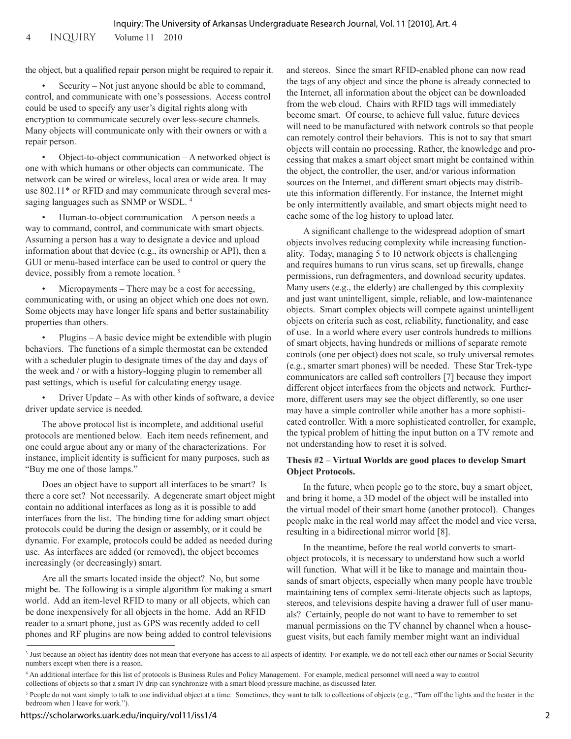4 inquiry Volume 11 2010

the object, but a qualified repair person might be required to repair it.

• Security – Not just anyone should be able to command, control, and communicate with one's possessions. Access control could be used to specify any user's digital rights along with encryption to communicate securely over less-secure channels. Many objects will communicate only with their owners or with a repair person.

• Object-to-object communication – A networked object is one with which humans or other objects can communicate. The network can be wired or wireless, local area or wide area. It may use 802.11\* or RFID and may communicate through several messaging languages such as SNMP or WSDL. 4

Human-to-object communication  $-A$  person needs a way to command, control, and communicate with smart objects. Assuming a person has a way to designate a device and upload information about that device (e.g., its ownership or API), then a GUI or menu-based interface can be used to control or query the device, possibly from a remote location. 5

Micropayments – There may be a cost for accessing, communicating with, or using an object which one does not own. Some objects may have longer life spans and better sustainability properties than others.

Plugins – A basic device might be extendible with plugin behaviors. The functions of a simple thermostat can be extended with a scheduler plugin to designate times of the day and days of the week and / or with a history-logging plugin to remember all past settings, which is useful for calculating energy usage.

• Driver Update – As with other kinds of software, a device driver update service is needed.

The above protocol list is incomplete, and additional useful protocols are mentioned below. Each item needs refinement, and one could argue about any or many of the characterizations. For instance, implicit identity is sufficient for many purposes, such as "Buy me one of those lamps."

Does an object have to support all interfaces to be smart? Is there a core set? Not necessarily. A degenerate smart object might contain no additional interfaces as long as it is possible to add interfaces from the list. The binding time for adding smart object protocols could be during the design or assembly, or it could be dynamic. For example, protocols could be added as needed during use. As interfaces are added (or removed), the object becomes increasingly (or decreasingly) smart.

Are all the smarts located inside the object? No, but some might be. The following is a simple algorithm for making a smart world. Add an item-level RFID to many or all objects, which can be done inexpensively for all objects in the home. Add an RFID reader to a smart phone, just as GPS was recently added to cell phones and RF plugins are now being added to control televisions

and stereos. Since the smart RFID-enabled phone can now read the tags of any object and since the phone is already connected to the Internet, all information about the object can be downloaded from the web cloud. Chairs with RFID tags will immediately become smart. Of course, to achieve full value, future devices will need to be manufactured with network controls so that people can remotely control their behaviors. This is not to say that smart objects will contain no processing. Rather, the knowledge and processing that makes a smart object smart might be contained within the object, the controller, the user, and/or various information sources on the Internet, and different smart objects may distribute this information differently. For instance, the Internet might be only intermittently available, and smart objects might need to cache some of the log history to upload later.

A significant challenge to the widespread adoption of smart objects involves reducing complexity while increasing functionality. Today, managing 5 to 10 network objects is challenging and requires humans to run virus scans, set up firewalls, change permissions, run defragmenters, and download security updates. Many users (e.g., the elderly) are challenged by this complexity and just want unintelligent, simple, reliable, and low-maintenance objects. Smart complex objects will compete against unintelligent objects on criteria such as cost, reliability, functionality, and ease of use. In a world where every user controls hundreds to millions of smart objects, having hundreds or millions of separate remote controls (one per object) does not scale, so truly universal remotes (e.g., smarter smart phones) will be needed. These Star Trek-type communicators are called soft controllers [7] because they import different object interfaces from the objects and network. Furthermore, different users may see the object differently, so one user may have a simple controller while another has a more sophisticated controller. With a more sophisticated controller, for example, the typical problem of hitting the input button on a TV remote and not understanding how to reset it is solved.

#### **Thesis #2 – Virtual Worlds are good places to develop Smart Object Protocols.**

In the future, when people go to the store, buy a smart object, and bring it home, a 3D model of the object will be installed into the virtual model of their smart home (another protocol). Changes people make in the real world may affect the model and vice versa, resulting in a bidirectional mirror world [8].

In the meantime, before the real world converts to smartobject protocols, it is necessary to understand how such a world will function. What will it be like to manage and maintain thousands of smart objects, especially when many people have trouble maintaining tens of complex semi-literate objects such as laptops, stereos, and televisions despite having a drawer full of user manuals? Certainly, people do not want to have to remember to set manual permissions on the TV channel by channel when a houseguest visits, but each family member might want an individual

<sup>&</sup>lt;sup>3</sup> Just because an object has identity does not mean that everyone has access to all aspects of identity. For example, we do not tell each other our names or Social Security numbers except when there is a reason.

<sup>4</sup> An additional interface for this list of protocols is Business Rules and Policy Management. For example, medical personnel will need a way to control collections of objects so that a smart IV drip can synchronize with a smart blood pressure machine, as discussed later.

<sup>&</sup>lt;sup>5</sup> People do not want simply to talk to one individual object at a time. Sometimes, they want to talk to collections of objects (e.g., "Turn off the lights and the heater in the bedroom when I leave for work.").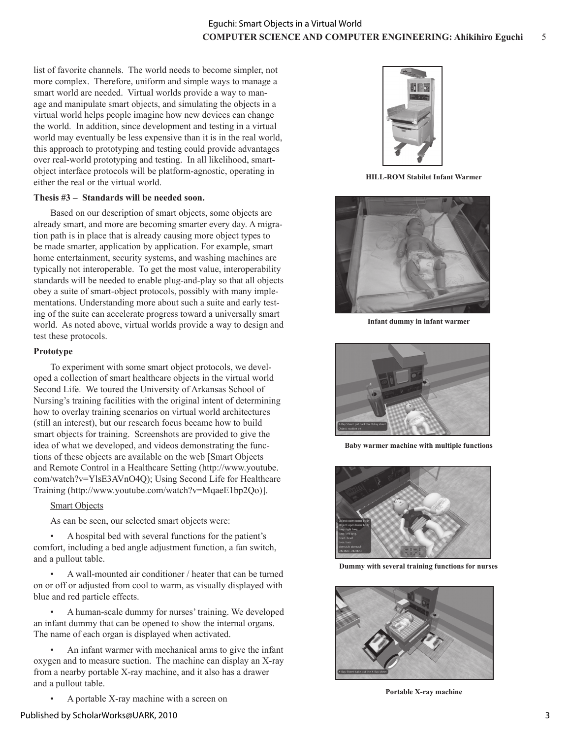list of favorite channels. The world needs to become simpler, not more complex. Therefore, uniform and simple ways to manage a smart world are needed. Virtual worlds provide a way to manage and manipulate smart objects, and simulating the objects in a virtual world helps people imagine how new devices can change the world. In addition, since development and testing in a virtual world may eventually be less expensive than it is in the real world, this approach to prototyping and testing could provide advantages over real-world prototyping and testing. In all likelihood, smartobject interface protocols will be platform-agnostic, operating in either the real or the virtual world.

# **Thesis #3 – Standards will be needed soon.**

Based on our description of smart objects, some objects are already smart, and more are becoming smarter every day. A migration path is in place that is already causing more object types to be made smarter, application by application. For example, smart home entertainment, security systems, and washing machines are typically not interoperable. To get the most value, interoperability standards will be needed to enable plug-and-play so that all objects obey a suite of smart-object protocols, possibly with many implementations. Understanding more about such a suite and early testing of the suite can accelerate progress toward a universally smart world. As noted above, virtual worlds provide a way to design and test these protocols.

### **Prototype**

To experiment with some smart object protocols, we developed a collection of smart healthcare objects in the virtual world Second Life. We toured the University of Arkansas School of Nursing's training facilities with the original intent of determining how to overlay training scenarios on virtual world architectures (still an interest), but our research focus became how to build smart objects for training. Screenshots are provided to give the idea of what we developed, and videos demonstrating the functions of these objects are available on the web [Smart Objects and Remote Control in a Healthcare Setting (http://www.youtube. com/watch?v=YlsE3AVnO4Q); Using Second Life for Healthcare Training (http://www.youtube.com/watch?v=MqaeE1bp2Qo)].

# Smart Objects

As can be seen, our selected smart objects were:

• A hospital bed with several functions for the patient's comfort, including a bed angle adjustment function, a fan switch, and a pullout table.

• A wall-mounted air conditioner / heater that can be turned on or off or adjusted from cool to warm, as visually displayed with blue and red particle effects.

• A human-scale dummy for nurses' training. We developed an infant dummy that can be opened to show the internal organs. The name of each organ is displayed when activated.

• An infant warmer with mechanical arms to give the infant oxygen and to measure suction. The machine can display an X-ray from a nearby portable X-ray machine, and it also has a drawer and a pullout table.

• A portable X-ray machine with a screen on



**HILL-ROM Stabilet Infant Warmer**



**Infant dummy in infant warmer**



**Baby warmer machine with multiple functions**



**Dummy with several training functions for nurses**



**Portable X-ray machine**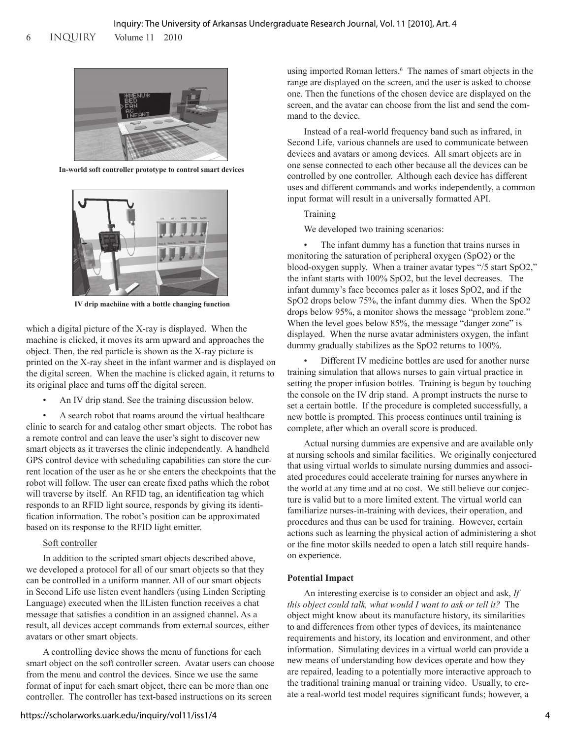6 inquiry Volume 11 2010



**In-world soft controller prototype to control smart devices**



**IV drip machiine with a bottle changing function**

which a digital picture of the X-ray is displayed. When the machine is clicked, it moves its arm upward and approaches the object. Then, the red particle is shown as the X-ray picture is printed on the X-ray sheet in the infant warmer and is displayed on the digital screen. When the machine is clicked again, it returns to its original place and turns off the digital screen.

An IV drip stand. See the training discussion below.

• A search robot that roams around the virtual healthcare clinic to search for and catalog other smart objects. The robot has a remote control and can leave the user's sight to discover new smart objects as it traverses the clinic independently. A handheld GPS control device with scheduling capabilities can store the current location of the user as he or she enters the checkpoints that the robot will follow. The user can create fixed paths which the robot will traverse by itself. An RFID tag, an identification tag which responds to an RFID light source, responds by giving its identification information. The robot's position can be approximated based on its response to the RFID light emitter.

# Soft controller

In addition to the scripted smart objects described above, we developed a protocol for all of our smart objects so that they can be controlled in a uniform manner. All of our smart objects in Second Life use listen event handlers (using Linden Scripting Language) executed when the llListen function receives a chat message that satisfies a condition in an assigned channel. As a result, all devices accept commands from external sources, either avatars or other smart objects.

A controlling device shows the menu of functions for each smart object on the soft controller screen. Avatar users can choose from the menu and control the devices. Since we use the same format of input for each smart object, there can be more than one controller. The controller has text-based instructions on its screen

using imported Roman letters.<sup>6</sup> The names of smart objects in the range are displayed on the screen, and the user is asked to choose one. Then the functions of the chosen device are displayed on the screen, and the avatar can choose from the list and send the command to the device.

Instead of a real-world frequency band such as infrared, in Second Life, various channels are used to communicate between devices and avatars or among devices. All smart objects are in one sense connected to each other because all the devices can be controlled by one controller. Although each device has different uses and different commands and works independently, a common input format will result in a universally formatted API.

# Training

We developed two training scenarios:

The infant dummy has a function that trains nurses in monitoring the saturation of peripheral oxygen (SpO2) or the blood-oxygen supply. When a trainer avatar types "/5 start SpO2," the infant starts with 100% SpO2, but the level decreases. The infant dummy's face becomes paler as it loses SpO2, and if the SpO2 drops below 75%, the infant dummy dies. When the SpO2 drops below 95%, a monitor shows the message "problem zone." When the level goes below 85%, the message "danger zone" is displayed. When the nurse avatar administers oxygen, the infant dummy gradually stabilizes as the SpO2 returns to 100%.

• Different IV medicine bottles are used for another nurse training simulation that allows nurses to gain virtual practice in setting the proper infusion bottles. Training is begun by touching the console on the IV drip stand. A prompt instructs the nurse to set a certain bottle. If the procedure is completed successfully, a new bottle is prompted. This process continues until training is complete, after which an overall score is produced.

Actual nursing dummies are expensive and are available only at nursing schools and similar facilities. We originally conjectured that using virtual worlds to simulate nursing dummies and associated procedures could accelerate training for nurses anywhere in the world at any time and at no cost. We still believe our conjecture is valid but to a more limited extent. The virtual world can familiarize nurses-in-training with devices, their operation, and procedures and thus can be used for training. However, certain actions such as learning the physical action of administering a shot or the fine motor skills needed to open a latch still require handson experience.

# **Potential Impact**

An interesting exercise is to consider an object and ask, *If this object could talk, what would I want to ask or tell it?* The object might know about its manufacture history, its similarities to and differences from other types of devices, its maintenance requirements and history, its location and environment, and other information. Simulating devices in a virtual world can provide a new means of understanding how devices operate and how they are repaired, leading to a potentially more interactive approach to the traditional training manual or training video. Usually, to create a real-world test model requires significant funds; however, a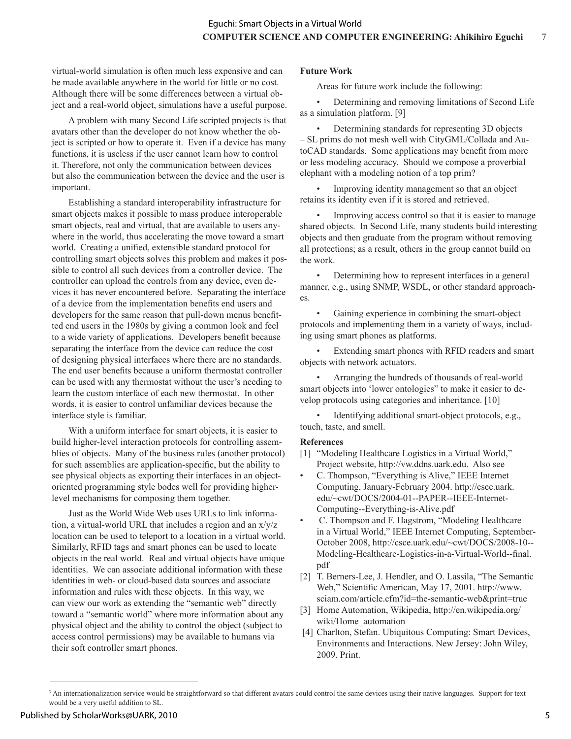virtual-world simulation is often much less expensive and can be made available anywhere in the world for little or no cost. Although there will be some differences between a virtual object and a real-world object, simulations have a useful purpose.

A problem with many Second Life scripted projects is that avatars other than the developer do not know whether the object is scripted or how to operate it. Even if a device has many functions, it is useless if the user cannot learn how to control it. Therefore, not only the communication between devices but also the communication between the device and the user is important.

Establishing a standard interoperability infrastructure for smart objects makes it possible to mass produce interoperable smart objects, real and virtual, that are available to users anywhere in the world, thus accelerating the move toward a smart world. Creating a unified, extensible standard protocol for controlling smart objects solves this problem and makes it possible to control all such devices from a controller device. The controller can upload the controls from any device, even devices it has never encountered before. Separating the interface of a device from the implementation benefits end users and developers for the same reason that pull-down menus benefitted end users in the 1980s by giving a common look and feel to a wide variety of applications. Developers benefit because separating the interface from the device can reduce the cost of designing physical interfaces where there are no standards. The end user benefits because a uniform thermostat controller can be used with any thermostat without the user's needing to learn the custom interface of each new thermostat. In other words, it is easier to control unfamiliar devices because the interface style is familiar.

With a uniform interface for smart objects, it is easier to build higher-level interaction protocols for controlling assemblies of objects. Many of the business rules (another protocol) for such assemblies are application-specific, but the ability to see physical objects as exporting their interfaces in an objectoriented programming style bodes well for providing higherlevel mechanisms for composing them together.

Just as the World Wide Web uses URLs to link information, a virtual-world URL that includes a region and an x/y/z location can be used to teleport to a location in a virtual world. Similarly, RFID tags and smart phones can be used to locate objects in the real world. Real and virtual objects have unique identities. We can associate additional information with these identities in web- or cloud-based data sources and associate information and rules with these objects. In this way, we can view our work as extending the "semantic web" directly toward a "semantic world" where more information about any physical object and the ability to control the object (subject to access control permissions) may be available to humans via their soft controller smart phones.

### **Future Work**

Areas for future work include the following:

• Determining and removing limitations of Second Life as a simulation platform. [9]

• Determining standards for representing 3D objects – SL prims do not mesh well with CityGML/Collada and AutoCAD standards. Some applications may benefit from more or less modeling accuracy. Should we compose a proverbial elephant with a modeling notion of a top prim?

Improving identity management so that an object retains its identity even if it is stored and retrieved.

Improving access control so that it is easier to manage shared objects. In Second Life, many students build interesting objects and then graduate from the program without removing all protections; as a result, others in the group cannot build on the work.

• Determining how to represent interfaces in a general manner, e.g., using SNMP, WSDL, or other standard approaches.

Gaining experience in combining the smart-object protocols and implementing them in a variety of ways, including using smart phones as platforms.

Extending smart phones with RFID readers and smart objects with network actuators.

• Arranging the hundreds of thousands of real-world smart objects into 'lower ontologies" to make it easier to develop protocols using categories and inheritance. [10]

Identifying additional smart-object protocols, e.g., touch, taste, and smell.

#### **References**

- [1] "Modeling Healthcare Logistics in a Virtual World," Project website, http://vw.ddns.uark.edu. Also see
- C. Thompson, "Everything is Alive," IEEE Internet Computing, January-February 2004. http://csce.uark. edu/~cwt/DOCS/2004-01--PAPER--IEEE-Internet-Computing--Everything-is-Alive.pdf
- C. Thompson and F. Hagstrom, "Modeling Healthcare in a Virtual World," IEEE Internet Computing, September-October 2008, http://csce.uark.edu/~cwt/DOCS/2008-10-- Modeling-Healthcare-Logistics-in-a-Virtual-World--final. pdf
- [2] T. Berners-Lee, J. Hendler, and O. Lassila, "The Semantic Web," Scientific American, May 17, 2001. http://www. sciam.com/article.cfm?id=the-semantic-web&print=true
- [3] Home Automation, Wikipedia, http://en.wikipedia.org/ wiki/Home\_automation
- [4] Charlton, Stefan. Ubiquitous Computing: Smart Devices, Environments and Interactions. New Jersey: John Wiley, 2009. Print.

<sup>&</sup>lt;sup>3</sup> An internationalization service would be straightforward so that different avatars could control the same devices using their native languages. Support for text would be a very useful addition to SL.